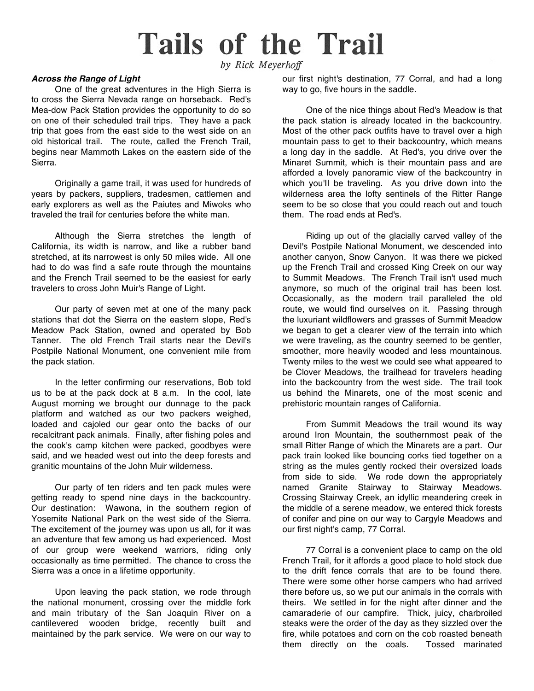## **Tails of the Trail**

by Rick Meyerhoff

## *Across the Range of Light*

One of the great adventures in the High Sierra is to cross the Sierra Nevada range on horseback. Red's Mea-dow Pack Station provides the opportunity to do so on one of their scheduled trail trips. They have a pack trip that goes from the east side to the west side on an old historical trail. The route, called the French Trail, begins near Mammoth Lakes on the eastern side of the Sierra.

Originally a game trail, it was used for hundreds of years by packers, suppliers, tradesmen, cattlemen and early explorers as well as the Paiutes and Miwoks who traveled the trail for centuries before the white man.

Although the Sierra stretches the length of California, its width is narrow, and like a rubber band stretched, at its narrowest is only 50 miles wide. All one had to do was find a safe route through the mountains and the French Trail seemed to be the easiest for early travelers to cross John Muir's Range of Light.

Our party of seven met at one of the many pack stations that dot the Sierra on the eastern slope, Red's Meadow Pack Station, owned and operated by Bob Tanner. The old French Trail starts near the Devil's Postpile National Monument, one convenient mile from the pack station.

In the letter confirming our reservations, Bob told us to be at the pack dock at 8 a.m. In the cool, late August morning we brought our dunnage to the pack platform and watched as our two packers weighed, loaded and cajoled our gear onto the backs of our recalcitrant pack animals. Finally, after fishing poles and the cook's camp kitchen were packed, goodbyes were said, and we headed west out into the deep forests and granitic mountains of the John Muir wilderness.

Our party of ten riders and ten pack mules were getting ready to spend nine days in the backcountry. Our destination: Wawona, in the southern region of Yosemite National Park on the west side of the Sierra. The excitement of the journey was upon us all, for it was an adventure that few among us had experienced. Most of our group were weekend warriors, riding only occasionally as time permitted. The chance to cross the Sierra was a once in a lifetime opportunity.

Upon leaving the pack station, we rode through the national monument, crossing over the middle fork and main tributary of the San Joaquin River on a cantilevered wooden bridge, recently built and maintained by the park service. We were on our way to

our first night's destination, 77 Corral, and had a long way to go, five hours in the saddle.

One of the nice things about Red's Meadow is that the pack station is already located in the backcountry. Most of the other pack outfits have to travel over a high mountain pass to get to their backcountry, which means a long day in the saddle. At Red's, you drive over the Minaret Summit, which is their mountain pass and are afforded a lovely panoramic view of the backcountry in which you'II be traveling. As you drive down into the wilderness area the lofty sentinels of the Ritter Range seem to be so close that you could reach out and touch them. The road ends at Red's.

Riding up out of the glacially carved valley of the Devil's Postpile National Monument, we descended into another canyon, Snow Canyon. It was there we picked up the French Trail and crossed King Creek on our way to Summit Meadows. The French Trail isn't used much anymore, so much of the original trail has been lost. Occasionally, as the modern trail paralleled the old route, we would find ourselves on it. Passing through the luxuriant wildflowers and grasses of Summit Meadow we began to get a clearer view of the terrain into which we were traveling, as the country seemed to be gentler, smoother, more heavily wooded and less mountainous. Twenty miles to the west we could see what appeared to be Clover Meadows, the trailhead for travelers heading into the backcountry from the west side. The trail took us behind the Minarets, one of the most scenic and prehistoric mountain ranges of California.

From Summit Meadows the trail wound its way around Iron Mountain, the southernmost peak of the small Ritter Range of which the Minarets are a part. Our pack train looked like bouncing corks tied together on a string as the mules gently rocked their oversized loads from side to side. We rode down the appropriately named Granite Stairway to Stairway Meadows. Crossing Stairway Creek, an idyllic meandering creek in the middle of a serene meadow, we entered thick forests of conifer and pine on our way to Cargyle Meadows and our first night's camp, 77 Corral.

77 Corral is a convenient place to camp on the old French Trail, for it affords a good place to hold stock due to the drift fence corrals that are to be found there. There were some other horse campers who had arrived there before us, so we put our animals in the corrals with theirs. We settled in for the night after dinner and the camaraderie of our campfire. Thick, juicy, charbroiled steaks were the order of the day as they sizzled over the fire, while potatoes and corn on the cob roasted beneath them directly on the coals. Tossed marinated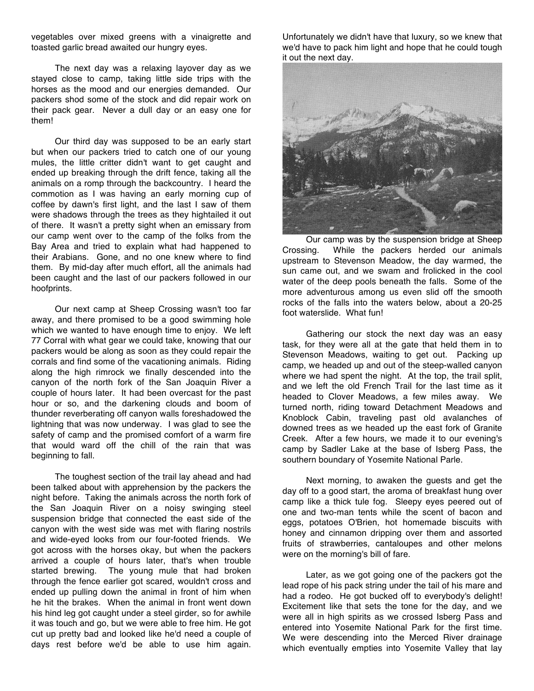vegetables over mixed greens with a vinaigrette and toasted garlic bread awaited our hungry eyes.

The next day was a relaxing layover day as we stayed close to camp, taking little side trips with the horses as the mood and our energies demanded. Our packers shod some of the stock and did repair work on their pack gear. Never a dull day or an easy one for them!

Our third day was supposed to be an early start but when our packers tried to catch one of our young mules, the little critter didn't want to get caught and ended up breaking through the drift fence, taking all the animals on a romp through the backcountry. I heard the commotion as I was having an early morning cup of coffee by dawn's first light, and the last I saw of them were shadows through the trees as they hightailed it out of there. It wasn't a pretty sight when an emissary from our camp went over to the camp of the folks from the Bay Area and tried to explain what had happened to their Arabians. Gone, and no one knew where to find them. By mid-day after much effort, all the animals had been caught and the last of our packers followed in our hoofprints.

Our next camp at Sheep Crossing wasn't too far away, and there promised to be a good swimming hole which we wanted to have enough time to enjoy. We left 77 Corral with what gear we could take, knowing that our packers would be along as soon as they could repair the corrals and find some of the vacationing animals. Riding along the high rimrock we finally descended into the canyon of the north fork of the San Joaquin River a couple of hours later. It had been overcast for the past hour or so, and the darkening clouds and boom of thunder reverberating off canyon walls foreshadowed the lightning that was now underway. I was glad to see the safety of camp and the promised comfort of a warm fire that would ward off the chill of the rain that was beginning to fall.

The toughest section of the trail lay ahead and had been talked about with apprehension by the packers the night before. Taking the animals across the north fork of the San Joaquin River on a noisy swinging steel suspension bridge that connected the east side of the canyon with the west side was met with flaring nostrils and wide-eyed looks from our four-footed friends. We got across with the horses okay, but when the packers arrived a couple of hours later, that's when trouble started brewing. The young mule that had broken through the fence earlier got scared, wouldn't cross and ended up pulling down the animal in front of him when he hit the brakes. When the animal in front went down his hind leg got caught under a steel girder, so for awhile it was touch and go, but we were able to free him. He got cut up pretty bad and looked like he'd need a couple of days rest before we'd be able to use him again.

Unfortunately we didn't have that luxury, so we knew that we'd have to pack him light and hope that he could tough it out the next day.



Our camp was by the suspension bridge at Sheep Crossing. While the packers herded our animals upstream to Stevenson Meadow, the day warmed, the sun came out, and we swam and frolicked in the cool water of the deep pools beneath the falls. Some of the more adventurous among us even slid off the smooth rocks of the falls into the waters below, about a 20-25 foot waterslide. What fun!

Gathering our stock the next day was an easy task, for they were all at the gate that held them in to Stevenson Meadows, waiting to get out. Packing up camp, we headed up and out of the steep-walled canyon where we had spent the night. At the top, the trail split, and we left the old French Trail for the last time as it headed to Clover Meadows, a few miles away. We turned north, riding toward Detachment Meadows and Knoblock Cabin, traveling past old avalanches of downed trees as we headed up the east fork of Granite Creek. After a few hours, we made it to our evening's camp by Sadler Lake at the base of Isberg Pass, the southern boundary of Yosemite National Parle.

Next morning, to awaken the guests and get the day off to a good start, the aroma of breakfast hung over camp like a thick tule fog. Sleepy eyes peered out of one and two-man tents while the scent of bacon and eggs, potatoes O'Brien, hot homemade biscuits with honey and cinnamon dripping over them and assorted fruits of strawberries, cantaloupes and other melons were on the morning's bill of fare.

Later, as we got going one of the packers got the lead rope of his pack string under the tail of his mare and had a rodeo. He got bucked off to everybody's delight! Excitement like that sets the tone for the day, and we were all in high spirits as we crossed Isberg Pass and entered into Yosemite National Park for the first time. We were descending into the Merced River drainage which eventually empties into Yosemite Valley that lay